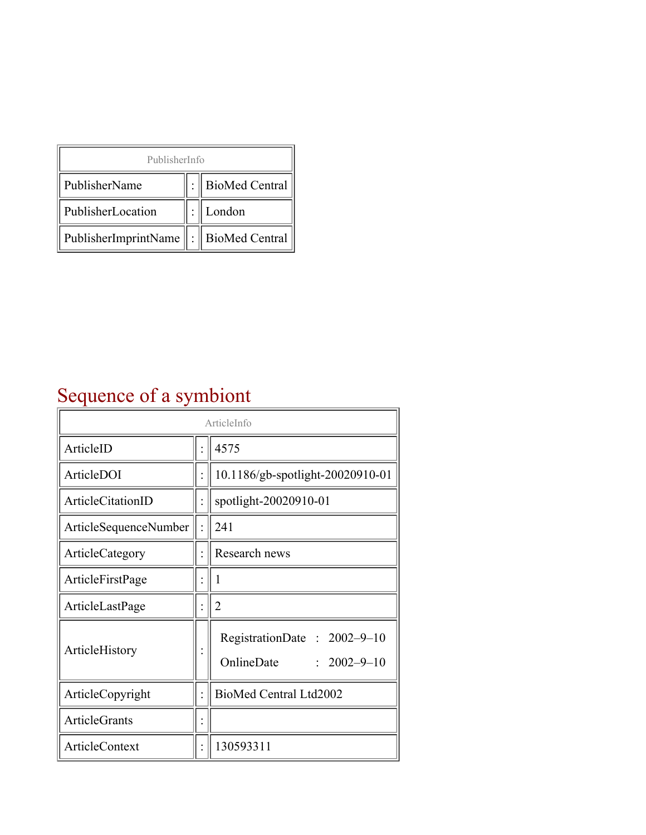| PublisherInfo                                   |  |                    |  |  |
|-------------------------------------------------|--|--------------------|--|--|
| PublisherName                                   |  | :   BioMed Central |  |  |
| PublisherLocation                               |  | London             |  |  |
| PublisherImprintName $\ \cdot\ $ BioMed Central |  |                    |  |  |

## Sequence of a symbiont

| ArticleInfo            |  |                                                                |
|------------------------|--|----------------------------------------------------------------|
| ArticleID              |  | 4575                                                           |
| ArticleDOI             |  | 10.1186/gb-spotlight-20020910-01                               |
| ArticleCitationID      |  | spotlight-20020910-01                                          |
| ArticleSequenceNumber  |  | 241                                                            |
| <b>ArticleCategory</b> |  | Research news                                                  |
| ArticleFirstPage       |  | 1                                                              |
| ArticleLastPage        |  | $\overline{2}$                                                 |
| ArticleHistory         |  | RegistrationDate: 2002-9-10<br>OnlineDate<br>$: 2002 - 9 - 10$ |
| ArticleCopyright       |  | BioMed Central Ltd2002                                         |
| ArticleGrants          |  |                                                                |
| <b>ArticleContext</b>  |  | 130593311                                                      |